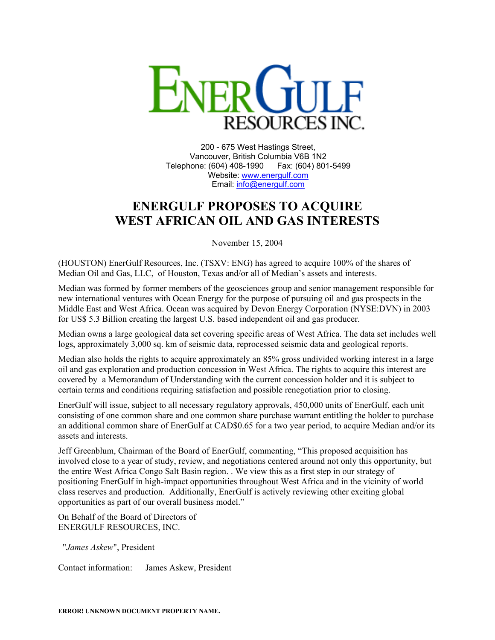

200 - 675 West Hastings Street, Vancouver, British Columbia V6B 1N2 Telephone: (604) 408-1990 Fax: (604) 801-5499 Website: [www.energulf.com](http://www.energulf.com/) Email: [info@energulf.com](mailto:info@energulf.com)

## **ENERGULF PROPOSES TO ACQUIRE WEST AFRICAN OIL AND GAS INTERESTS**

November 15, 2004

(HOUSTON) EnerGulf Resources, Inc. (TSXV: ENG) has agreed to acquire 100% of the shares of Median Oil and Gas, LLC, of Houston, Texas and/or all of Median's assets and interests.

Median was formed by former members of the geosciences group and senior management responsible for new international ventures with Ocean Energy for the purpose of pursuing oil and gas prospects in the Middle East and West Africa. Ocean was acquired by Devon Energy Corporation (NYSE:DVN) in 2003 for US\$ 5.3 Billion creating the largest U.S. based independent oil and gas producer.

Median owns a large geological data set covering specific areas of West Africa. The data set includes well logs, approximately 3,000 sq. km of seismic data, reprocessed seismic data and geological reports.

Median also holds the rights to acquire approximately an 85% gross undivided working interest in a large oil and gas exploration and production concession in West Africa. The rights to acquire this interest are covered by a Memorandum of Understanding with the current concession holder and it is subject to certain terms and conditions requiring satisfaction and possible renegotiation prior to closing.

EnerGulf will issue, subject to all necessary regulatory approvals, 450,000 units of EnerGulf, each unit consisting of one common share and one common share purchase warrant entitling the holder to purchase an additional common share of EnerGulf at CAD\$0.65 for a two year period, to acquire Median and/or its assets and interests.

Jeff Greenblum, Chairman of the Board of EnerGulf, commenting, "This proposed acquisition has involved close to a year of study, review, and negotiations centered around not only this opportunity, but the entire West Africa Congo Salt Basin region. . We view this as a first step in our strategy of positioning EnerGulf in high-impact opportunities throughout West Africa and in the vicinity of world class reserves and production. Additionally, EnerGulf is actively reviewing other exciting global opportunities as part of our overall business model."

On Behalf of the Board of Directors of ENERGULF RESOURCES, INC.

"*James Askew*", President

Contact information: James Askew, President